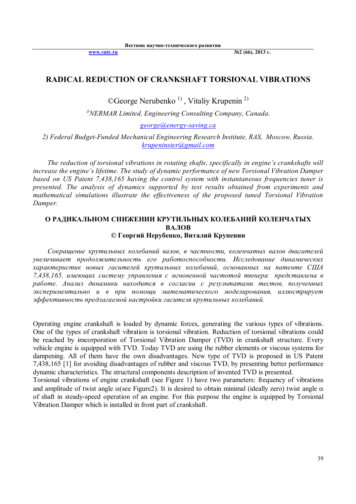**www.vntr.ru №2 (66), 2013 г.**

### **RADICAL REDUCTION OF CRANKSHAFT TORSIONAL VIBRATIONS**

©George Nerubenko<sup>1)</sup>, Vitaliy Krupenin<sup>2)</sup>

*<sup>1</sup>)NERMAR Limited, Engineering Consulting Company, Canada.*

*george@energy-saving.ca*

*2) Federal Budget-Funded Mechanical Engineering Research Institute, RAS, Moscow, Russia. krupeninster@gmail.com*

*The reduction of torsional vibrations in rotating shafts, specifically in engine's crankshafts will increase the engine's lifetime. The study of dynamic performance of new Torsional Vibration Damper based on US Patent 7,438,165 having the control system with instantaneous frequencies tuner is presented. The analysis of dynamics supported by test results obtained from experiments and mathematical simulations illustrate the effectiveness of the proposed tuned Torsional Vibration Damper.*

# **О РАДИКАЛЬНОМ СНИЖЕНИИ КРУТИЛЬНЫХ КОЛЕБАНИЙ КОЛЕНЧАТЫХ ВАЛОВ**

**© Георгий Нерубенко, Виталий Крупенин**

*Сокращение крутильных колебаний валов, в частности, коленчатых валов двигателей увеличивает продолжительность его работоспособности. Исследование динамических характеристик новых гасителей крутильных колебаний, основанных на патенте США 7,438,165, имеющих систему управления с мгновенной частотой тюнера представлена в работе. Анализ динамики находится в согласии с результатами тестов, полученных экспериментально и в при помощи математического моделирования, иллюстрирует эффективность предлагаемой настройки гасителя крутильных колебаний.*

Operating engine crankshaft is loaded by dynamic forces, generating the various types of vibrations. One of the types of crankshaft vibration is torsional vibration. Reduction of torsional vibrations could be reached by imcorporation of Torsional Vibration Damper (TVD) in crankshaft structure. Every vehicle engine is equipped with TVD. Today TVD are using the rubber elements or viscous systems for dampening. All of them have the own disadvantages. New type of TVD is proposed in US Patent 7,438,165 [1] for avoiding disadvantages of rubber and viscous TVD, by presenting better performance dynamic characteristics. The structural components description of invented TVD is presented.

Torsional vibrations of engine crankshaft (see Figure 1) have two parameters: frequency of vibrations and amplitude of twist angle  $\alpha$  (see Figure2). It is desired to obtain minimal (ideally zero) twist angle  $\alpha$ of shaft in steady-speed operation of an engine. For this purpose the engine is equipped by Torsional Vibration Damper which is installed in front part of crankshaft.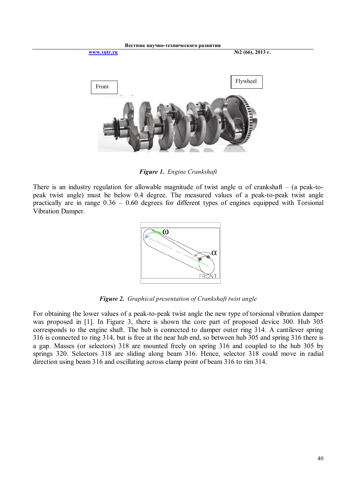

*Figure 1. Engine Crankshaft*

There is an industry regulation for allowable magnitude of twist angle  $\alpha$  of crankshaft – (a peak-topeak twist angle) must be below 0.4 degree. The measured values of a peak-to-peak twist angle practically are in range 0.36 – 0.60 degrees for different types of engines equipped with Torsional Vibration Damper.



*Figure 2. Graphical presentation of Crankshaft twist angle*

For obtaining the lower values of a peak-to-peak twist angle the new type of torsional vibration damper was proposed in [1]. In Figure 3, there is shown the core part of proposed device 300. Hub 305 corresponds to the engine shaft. The hub is connected to damper outer ring 314. A cantilever spring 316 is connected to ring 314, but is free at the near hub end, so between hub 305 and spring 316 there is a gap. Masses (or selectors) 318 are mounted freely on spring 316 and coupled to the hub 305 by springs 320. Selectors 318 are sliding along beam 316. Hence, selector 318 could move in radial direction using beam 316 and oscillating across clamp point of beam 316 to rim 314.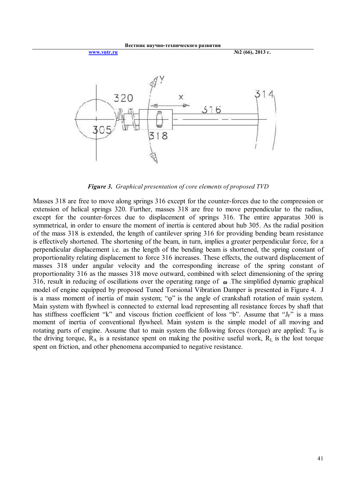

*Figure 3. Graphical presentation of core elements of proposed TVD*

Masses 318 are free to move along springs 316 except for the counter-forces due to the compression or extension of helical springs 320. Further, masses 318 are free to move perpendicular to the radius, except for the counter-forces due to displacement of springs 316. The entire apparatus 300 is symmetrical, in order to ensure the moment of inertia is centered about hub 305. As the radial position of the mass 318 is extended, the length of cantilever spring 316 for providing bending beam resistance is effectively shortened. The shortening of the beam, in turn, implies a greater perpendicular force, for a perpendicular displacement i.e. as the length of the bending beam is shortened, the spring constant of proportionality relating displacement to force 316 increases. These effects, the outward displacement of masses 318 under angular velocity and the corresponding increase of the spring constant of proportionality 316 as the masses 318 move outward, combined with select dimensioning of the spring 316, result in reducing of oscillations over the operating range of  $\infty$ . The simplified dynamic graphical model of engine equipped by proposed Tuned Torsional Vibration Damper is presented in Figure 4. J is a mass moment of inertia of main system; " $\varphi$ " is the angle of crankshaft rotation of main system. Main system with flywheel is connected to external load representing all resistance forces by shaft that has stiffness coefficient "k" and viscous friction coefficient of loss "b". Assume that "J<sub>F</sub>" is a mass moment of inertia of conventional flywheel. Main system is the simple model of all moving and rotating parts of engine. Assume that to main system the following forces (torque) are applied:  $T_M$  is the driving torque,  $R_A$  is a resistance spent on making the positive useful work,  $R_L$  is the lost torque spent on friction, and other phenomena accompanied to negative resistance.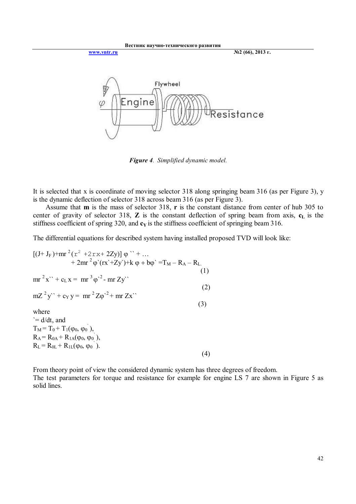

*Figure 4. Simplified dynamic model.*

It is selected that x is coordinate of moving selector 318 along springing beam 316 (as per Figure 3), y is the dynamic deflection of selector 318 across beam 316 (as per Figure 3).

 Assume that **m** is the mass of selector 318, **r** is the constant distance from center of hub 305 to center of gravity of selector 318, **Z** is the constant deflection of spring beam from axis, **c<sup>L</sup>** is the stiffness coefficient of spring 320, and  $c<sub>Y</sub>$  is the stiffness coefficient of springing beam 316.

The differential equations for described system having installed proposed TVD will look like:

$$
[(J+ JF)+mr2(r2 +2rx+ 2Zy)] \varphi " + ...+ 2mr2 \varphi'(rx+Zy')+k \varphi + b\varphi' = TM - RA - RL. (1)mr2x" + cLx = mr3 \varphi2 - mr Zy"mZ2y" + cYy = mr2Z\varphi2 + mr Zx"(3)where= d/dt, andTM = T0 + T1(\varphi0, \varphi0),RA = R0A + R1A(\varphi0, \varphi0),RL = R0L + R1L(\varphi0, \varphi0).
$$
 (4)

From theory point of view the considered dynamic system has three degrees of freedom. The test parameters for torque and resistance for example for engine LS 7 are shown in Figure 5 as solid lines.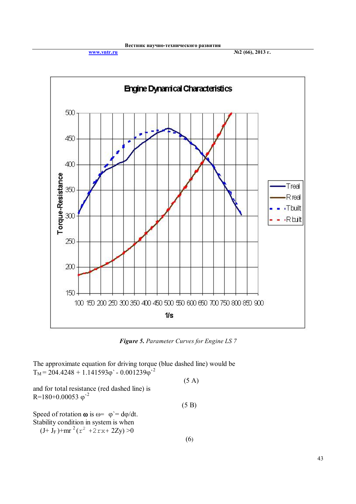**www.vntr.ru №2 (66), 2013 г.**



*Figure 5. Parameter Curves for Engine LS 7*

The approximate equation for driving torque (blue dashed line) would be  $T_M = 204.4248 + 1.141593\varphi - 0.001239\varphi^2$ 

and for total resistance (red dashed line) is  $R = 180 + 0.00053$   $\varphi$ <sup>2</sup>  $(5 B)$ Speed of rotation  $\omega$  is  $\omega = \varphi = d\varphi/dt$ .

Stability condition in system is when

 $(J+J_F)$ +mr<sup>2</sup>( $r^2$  +2rx+2Zy)>0

(5 A)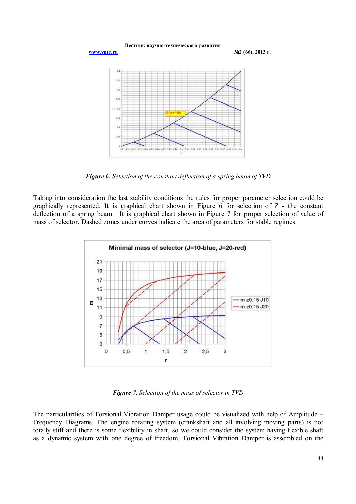

*Figure 6. Selection of the constant deflection of a spring beam of TVD*

Taking into consideration the last stability conditions the rules for proper parameter selection could be graphically represented. It is graphical chart shown in Figure 6 for selection of Z - the constant deflection of a spring beam. It is graphical chart shown in Figure 7 for proper selection of value of mass of selector. Dashed zones under curves indicate the area of parameters for stable regimes.



*Figure 7. Selection of the mass of selector in TVD*

The particularities of Torsional Vibration Damper usage could be visualized with help of Amplitude – Frequency Diagrams. The engine rotating system (crankshaft and all involving moving parts) is not totally stiff and there is some flexibility in shaft, so we could consider the system having flexible shaft as a dynamic system with one degree of freedom. Torsional Vibration Damper is assembled on the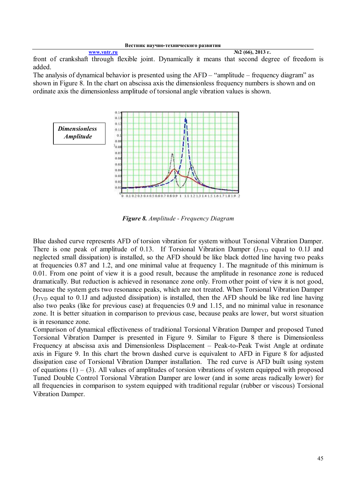**www.vntr.ru №2 (66), 2013 г.** front of crankshaft through flexible joint. Dynamically it means that second degree of freedom is added.

The analysis of dynamical behavior is presented using the AFD – "amplitude – frequency diagram" as shown in Figure 8. In the chart on abscissa axis the dimensionless frequency numbers is shown and on ordinate axis the dimensionless amplitude of torsional angle vibration values is shown.



*Figure 8. Amplitude - Frequency Diagram*

Blue dashed curve represents AFD of torsion vibration for system without Torsional Vibration Damper. There is one peak of amplitude of 0.13. If Torsional Vibration Damper  $(J_{TVD})$  equal to 0.1J and neglected small dissipation) is installed, so the AFD should be like black dotted line having two peaks at frequencies 0.87 and 1.2, and one minimal value at frequency 1. The magnitude of this minimum is 0.01. From one point of view it is a good result, because the amplitude in resonance zone is reduced dramatically. But reduction is achieved in resonance zone only. From other point of view it is not good, because the system gets two resonance peaks, which are not treated. When Torsional Vibration Damper  $(J_{TVD}$  equal to 0.1J and adjusted dissipation) is installed, then the AFD should be like red line having also two peaks (like for previous case) at frequencies 0.9 and 1.15, and no minimal value in resonance zone. It is better situation in comparison to previous case, because peaks are lower, but worst situation is in resonance zone.

Comparison of dynamical effectiveness of traditional Torsional Vibration Damper and proposed Tuned Torsional Vibration Damper is presented in Figure 9. Similar to Figure 8 there is Dimensionless Frequency at abscissa axis and Dimensionless Displacement – Peak-to-Peak Twist Angle at ordinate axis in Figure 9. In this chart the brown dashed curve is equivalent to AFD in Figure 8 for adjusted dissipation case of Torsional Vibration Damper installation. The red curve is AFD built using system of equations  $(1) - (3)$ . All values of amplitudes of torsion vibrations of system equipped with proposed Tuned Double Control Torsional Vibration Damper are lower (and in some areas radically lower) for all frequencies in comparison to system equipped with traditional regular (rubber or viscous) Torsional Vibration Damper.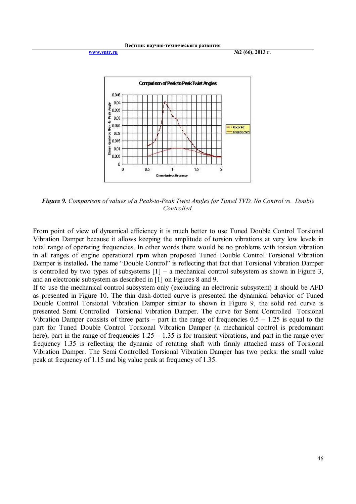

*Figure 9. Comparison of values of a Peak-to-Peak Twist Angles for Tuned TVD. No Control vs. Double Controlled.*

From point of view of dynamical efficiency it is much better to use Tuned Double Control Torsional Vibration Damper because it allows keeping the amplitude of torsion vibrations at very low levels in total range of operating frequencies. In other words there would be no problems with torsion vibration in all ranges of engine operational **rpm** when proposed Tuned Double Control Torsional Vibration Damper is installed**.** The name "Double Control" is reflecting that fact that Torsional Vibration Damper is controlled by two types of subsystems  $[1]$  – a mechanical control subsystem as shown in Figure 3, and an electronic subsystem as described in [1] on Figures 8 and 9.

If to use the mechanical control subsystem only (excluding an electronic subsystem) it should be AFD as presented in Figure 10. The thin dash-dotted curve is presented the dynamical behavior of Tuned Double Control Torsional Vibration Damper similar to shown in Figure 9, the solid red curve is presented Semi Controlled Torsional Vibration Damper. The curve for Semi Controlled Torsional Vibration Damper consists of three parts – part in the range of frequencies  $0.5 - 1.25$  is equal to the part for Tuned Double Control Torsional Vibration Damper (a mechanical control is predominant here), part in the range of frequencies  $1.25 - 1.35$  is for transient vibrations, and part in the range over frequency 1.35 is reflecting the dynamic of rotating shaft with firmly attached mass of Torsional Vibration Damper. The Semi Controlled Torsional Vibration Damper has two peaks: the small value peak at frequency of 1.15 and big value peak at frequency of 1.35.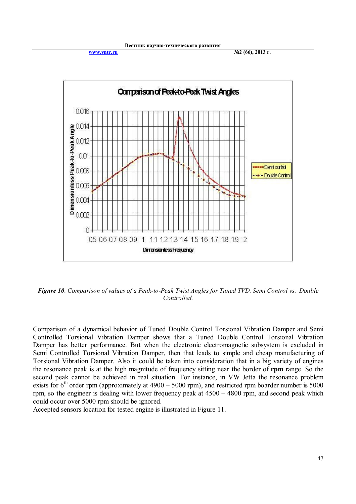**www.vntr.ru №2 (66), 2013 г.**



*Figure 10. Comparison of values of a Peak-to-Peak Twist Angles for Tuned TVD. Semi Control vs. Double Controlled.*

Comparison of a dynamical behavior of Tuned Double Control Torsional Vibration Damper and Semi Controlled Torsional Vibration Damper shows that a Tuned Double Control Torsional Vibration Damper has better performance. But when the electronic electromagnetic subsystem is excluded in Semi Controlled Torsional Vibration Damper, then that leads to simple and cheap manufacturing of Torsional Vibration Damper. Also it could be taken into consideration that in a big variety of engines the resonance peak is at the high magnitude of frequency sitting near the border of **rpm** range. So the second peak cannot be achieved in real situation. For instance, in VW Jetta the resonance problem exists for  $6<sup>th</sup>$  order rpm (approximately at 4900 – 5000 rpm), and restricted rpm boarder number is 5000 rpm, so the engineer is dealing with lower frequency peak at 4500 – 4800 rpm, and second peak which could occur over 5000 rpm should be ignored.

Accepted sensors location for tested engine is illustrated in Figure 11.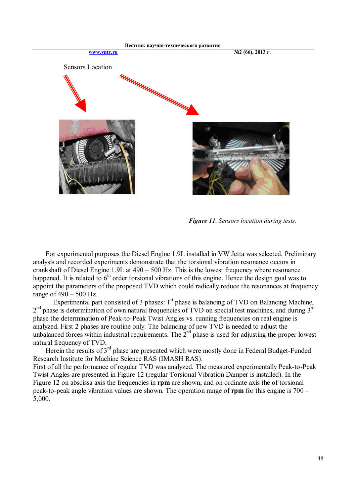

 *Figure 11. Sensors location during tests.*

 For experimental purposes the Diesel Engine 1.9L installed in VW Jetta was selected. Preliminary analysis and recorded experiments demonstrate that the torsional vibration resonance occurs in crankshaft of Diesel Engine 1.9L at 490 – 500 Hz. This is the lowest frequency where resonance happened. It is related to  $6<sup>th</sup>$  order torsional vibrations of this engine. Hence the design goal was to appoint the parameters of the proposed TVD which could radically reduce the resonances at frequency range of 490 – 500 Hz.

Experimental part consisted of 3 phases:  $1<sup>st</sup>$  phase is balancing of TVD on Balancing Machine,  $2<sup>nd</sup>$  phase is determination of own natural frequencies of TVD on special test machines, and during  $3<sup>rd</sup>$ phase the determination of Peak-to-Peak Twist Angles vs. running frequencies on real engine is analyzed. First 2 phases are routine only. The balancing of new TVD is needed to adjust the unbalanced forces within industrial requirements. The  $2^{nd}$  phase is used for adjusting the proper lowest natural frequency of TVD.

Herein the results of 3<sup>rd</sup> phase are presented which were mostly done in Federal Budget-Funded Research Institute for Machine Science RAS (IMASH RAS).

First of all the performance of regular TVD was analyzed. The measured experimentally Peak-to-Peak Twist Angles are presented in Figure 12 (regular Torsional Vibration Damper is installed). In the Figure 12 on abscissa axis the frequencies in **rpm** are shown, and on ordinate axis the of torsional peak-to-peak angle vibration values are shown. The operation range of **rpm** for this engine is 700 – 5,000.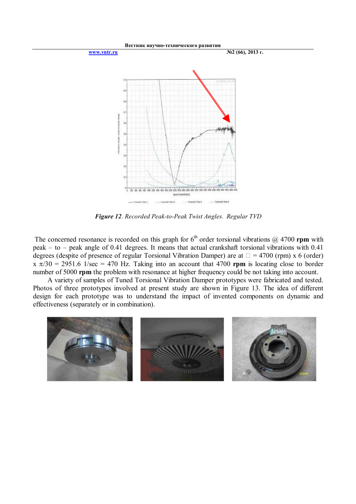

*Figure 12. Recorded Peak-to-Peak Twist Angles. Regular TVD* 

The concerned resonance is recorded on this graph for  $6<sup>th</sup>$  order torsional vibrations  $@$  4700 **rpm** with peak – to – peak angle of 0.41 degrees. It means that actual crankshaft torsional vibrations with 0.41 degrees (despite of presence of regular Torsional Vibration Damper) are at  $\Box$  = 4700 (rpm) x 6 (order)  $x \pi/30 = 2951.6$  1/sec = 470 Hz. Taking into an account that 4700 **rpm** is locating close to border number of 5000 **rpm** the problem with resonance at higher frequency could be not taking into account.

 A variety of samples of Tuned Torsional Vibration Damper prototypes were fabricated and tested. Photos of three prototypes involved at present study are shown in Figure 13. The idea of different design for each prototype was to understand the impact of invented components on dynamic and effectiveness (separately or in combination).

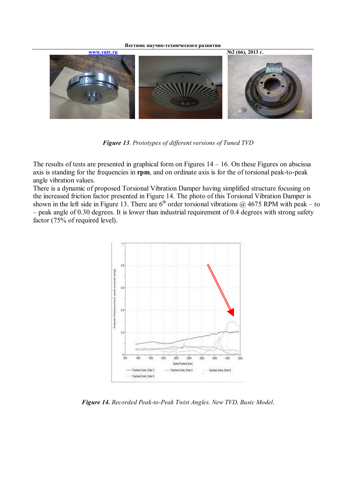

*Figure 13. Prototypes of different versions of Tuned TVD* 

The results of tests are presented in graphical form on Figures  $14 - 16$ . On these Figures on abscissa axis is standing for the frequencies in **rpm**, and on ordinate axis is for the of torsional peak-to-peak angle vibration values.

There is a dynamic of proposed Torsional Vibration Damper having simplified structure focusing on the increased friction factor presented in Figure 14. The photo of this Torsional Vibration Damper is shown in the left side in Figure 13. There are  $6<sup>th</sup>$  order torsional vibrations  $@$  4675 RPM with peak – to – peak angle of 0.30 degrees. It is lower than industrial requirement of 0.4 degrees with strong safety factor (75% of required level).



*Figure 14. Recorded Peak-to-Peak Twist Angles. New TVD, Basic Model.*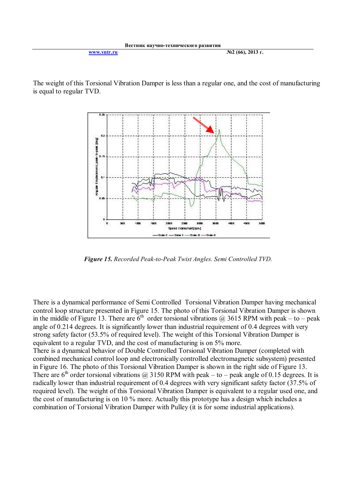The weight of this Torsional Vibration Damper is less than a regular one, and the cost of manufacturing is equal to regular TVD.



*Figure 15. Recorded Peak-to-Peak Twist Angles. Semi Controlled TVD.*

There is a dynamical performance of Semi Controlled Torsional Vibration Damper having mechanical control loop structure presented in Figure 15. The photo of this Torsional Vibration Damper is shown in the middle of Figure 13. There are  $6<sup>th</sup>$  order torsional vibrations @ 3615 RPM with peak – to – peak angle of 0.214 degrees. It is significantly lower than industrial requirement of 0.4 degrees with very strong safety factor (53.5% of required level). The weight of this Torsional Vibration Damper is equivalent to a regular TVD, and the cost of manufacturing is on 5% more.

There is a dynamical behavior of Double Controlled Torsional Vibration Damper (completed with combined mechanical control loop and electronically controlled electromagnetic subsystem) presented in Figure 16. The photo of this Torsional Vibration Damper is shown in the right side of Figure 13. There are  $6<sup>th</sup>$  order torsional vibrations @ 3150 RPM with peak – to – peak angle of 0.15 degrees. It is radically lower than industrial requirement of 0.4 degrees with very significant safety factor (37.5% of required level). The weight of this Torsional Vibration Damper is equivalent to a regular used one, and the cost of manufacturing is on 10 % more. Actually this prototype has a design which includes a combination of Torsional Vibration Damper with Pulley (it is for some industrial applications).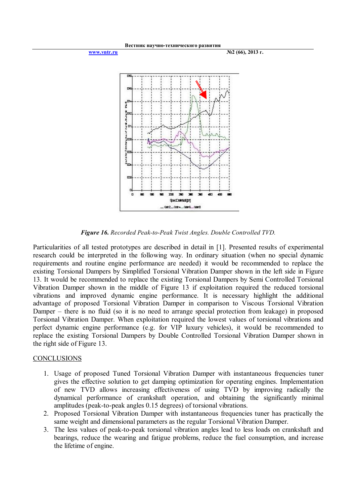

*Figure 16. Recorded Peak-to-Peak Twist Angles. Double Controlled TVD.*

Particularities of all tested prototypes are described in detail in [1]. Presented results of experimental research could be interpreted in the following way. In ordinary situation (when no special dynamic requirements and routine engine performance are needed) it would be recommended to replace the existing Torsional Dampers by Simplified Torsional Vibration Damper shown in the left side in Figure 13. It would be recommended to replace the existing Torsional Dampers by Semi Controlled Torsional Vibration Damper shown in the middle of Figure 13 if exploitation required the reduced torsional vibrations and improved dynamic engine performance. It is necessary highlight the additional advantage of proposed Torsional Vibration Damper in comparison to Viscous Torsional Vibration Damper – there is no fluid (so it is no need to arrange special protection from leakage) in proposed Torsional Vibration Damper. When exploitation required the lowest values of torsional vibrations and perfect dynamic engine performance (e.g. for VIP luxury vehicles), it would be recommended to replace the existing Torsional Dampers by Double Controlled Torsional Vibration Damper shown in the right side of Figure 13.

## **CONCLUSIONS**

- 1. Usage of proposed Tuned Torsional Vibration Damper with instantaneous frequencies tuner gives the effective solution to get damping optimization for operating engines. Implementation of new TVD allows increasing effectiveness of using TVD by improving radically the dynamical performance of crankshaft operation, and obtaining the significantly minimal amplitudes (peak-to-peak angles 0.15 degrees) of torsional vibrations.
- 2. Proposed Torsional Vibration Damper with instantaneous frequencies tuner has practically the same weight and dimensional parameters as the regular Torsional Vibration Damper.
- 3. The less values of peak-to-peak torsional vibration angles lead to less loads on crankshaft and bearings, reduce the wearing and fatigue problems, reduce the fuel consumption, and increase the lifetime of engine.